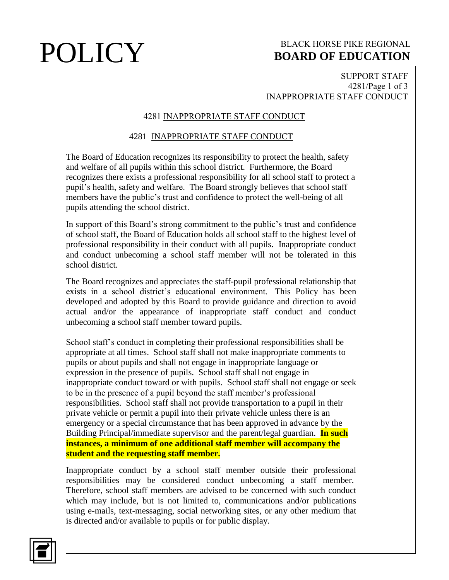## **POLICY** BOARD OF EDUCATION **BOARD OF EDUCATION**

### SUPPORT STAFF 4281/Page 1 of 3 INAPPROPRIATE STAFF CONDUCT

### 4281 INAPPROPRIATE STAFF CONDUCT

### 4281 INAPPROPRIATE STAFF CONDUCT

The Board of Education recognizes its responsibility to protect the health, safety and welfare of all pupils within this school district. Furthermore, the Board recognizes there exists a professional responsibility for all school staff to protect a pupil's health, safety and welfare. The Board strongly believes that school staff members have the public's trust and confidence to protect the well-being of all pupils attending the school district.

In support of this Board's strong commitment to the public's trust and confidence of school staff, the Board of Education holds all school staff to the highest level of professional responsibility in their conduct with all pupils. Inappropriate conduct and conduct unbecoming a school staff member will not be tolerated in this school district.

The Board recognizes and appreciates the staff-pupil professional relationship that exists in a school district's educational environment. This Policy has been developed and adopted by this Board to provide guidance and direction to avoid actual and/or the appearance of inappropriate staff conduct and conduct unbecoming a school staff member toward pupils.

School staff's conduct in completing their professional responsibilities shall be appropriate at all times. School staff shall not make inappropriate comments to pupils or about pupils and shall not engage in inappropriate language or expression in the presence of pupils. School staff shall not engage in inappropriate conduct toward or with pupils. School staff shall not engage or seek to be in the presence of a pupil beyond the staff member's professional responsibilities. School staff shall not provide transportation to a pupil in their private vehicle or permit a pupil into their private vehicle unless there is an emergency or a special circumstance that has been approved in advance by the Building Principal/immediate supervisor and the parent/legal guardian. **In such instances, a minimum of one additional staff member will accompany the student and the requesting staff member.**

Inappropriate conduct by a school staff member outside their professional responsibilities may be considered conduct unbecoming a staff member. Therefore, school staff members are advised to be concerned with such conduct which may include, but is not limited to, communications and/or publications using e-mails, text-messaging, social networking sites, or any other medium that is directed and/or available to pupils or for public display.

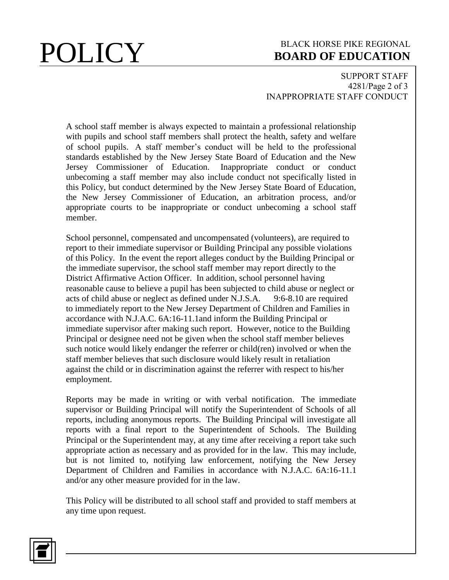## **POLICY** BLACK HORSE PIKE REGIONAL **BOARD OF EDUCATION BOARD OF EDUCATION**

SUPPORT STAFF 4281/Page 2 of 3 INAPPROPRIATE STAFF CONDUCT

A school staff member is always expected to maintain a professional relationship with pupils and school staff members shall protect the health, safety and welfare of school pupils. A staff member's conduct will be held to the professional standards established by the New Jersey State Board of Education and the New Jersey Commissioner of Education. unbecoming a staff member may also include conduct not specifically listed in this Policy, but conduct determined by the New Jersey State Board of Education, the New Jersey Commissioner of Education, an arbitration process, and/or appropriate courts to be inappropriate or conduct unbecoming a school staff member.

School personnel, compensated and uncompensated (volunteers), are required to report to their immediate supervisor or Building Principal any possible violations of this Policy. In the event the report alleges conduct by the Building Principal or the immediate supervisor, the school staff member may report directly to the District Affirmative Action Officer. In addition, school personnel having reasonable cause to believe a pupil has been subjected to child abuse or neglect or acts of child abuse or neglect as defined under N.J.S.A. 9:6-8.10 are required to immediately report to the New Jersey Department of Children and Families in accordance with N.J.A.C. 6A:16-11.1and inform the Building Principal or immediate supervisor after making such report. However, notice to the Building Principal or designee need not be given when the school staff member believes such notice would likely endanger the referrer or child(ren) involved or when the staff member believes that such disclosure would likely result in retaliation against the child or in discrimination against the referrer with respect to his/her employment.

Reports may be made in writing or with verbal notification. The immediate supervisor or Building Principal will notify the Superintendent of Schools of all reports, including anonymous reports. The Building Principal will investigate all reports with a final report to the Superintendent of Schools. The Building Principal or the Superintendent may, at any time after receiving a report take such appropriate action as necessary and as provided for in the law. This may include, but is not limited to, notifying law enforcement, notifying the New Jersey Department of Children and Families in accordance with N.J.A.C. 6A:16-11.1 and/or any other measure provided for in the law.

This Policy will be distributed to all school staff and provided to staff members at any time upon request.